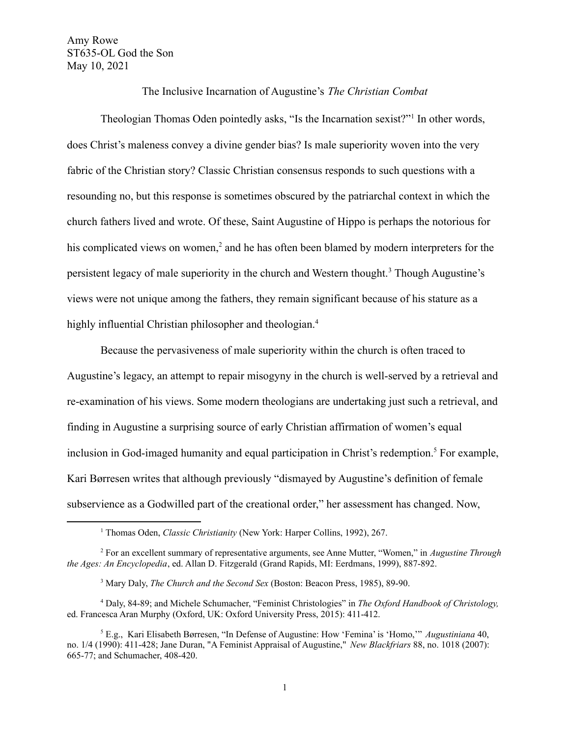Amy Rowe ST635-OL God the Son May 10, 2021

The Inclusive Incarnation of Augustine's *The Christian Combat*

Theologian Thomas Oden pointedly asks, "Is the Incarnation sexist?"<sup>1</sup> In other words, does Christ's maleness convey a divine gender bias? Is male superiority woven into the very fabric of the Christian story? Classic Christian consensus responds to such questions with a resounding no, but this response is sometimes obscured by the patriarchal context in which the church fathers lived and wrote. Of these, Saint Augustine of Hippo is perhaps the notorious for his complicated views on women.<sup>2</sup> and he has often been blamed by modern interpreters for the persistent legacy of male superiority in the church and Western thought.<sup>3</sup> Though Augustine's views were not unique among the fathers, they remain significant because of his stature as a highly influential Christian philosopher and theologian.<sup>4</sup>

Because the pervasiveness of male superiority within the church is often traced to Augustine's legacy, an attempt to repair misogyny in the church is well-served by a retrieval and re-examination of his views. Some modern theologians are undertaking just such a retrieval, and finding in Augustine a surprising source of early Christian affirmation of women's equal inclusion in God-imaged humanity and equal participation in Christ's redemption.<sup>5</sup> For example, Kari Børresen writes that although previously "dismayed by Augustine's definition of female subservience as a Godwilled part of the creational order," her assessment has changed. Now,

<sup>1</sup> Thomas Oden, *Classic Christianity* (New York: Harper Collins, 1992), 267.

<sup>2</sup> For an excellent summary of representative arguments, see Anne Mutter, "Women," in *Augustine Through the Ages: An Encyclopedia*, ed. Allan D. Fitzgerald (Grand Rapids, MI: Eerdmans, 1999), 887-892.

<sup>3</sup> Mary Daly, *The Church and the Second Sex* (Boston: Beacon Press, 1985), 89-90.

<sup>4</sup> Daly, 84-89; and Michele Schumacher, "Feminist Christologies" in *The Oxford Handbook of Christology,* ed. Francesca Aran Murphy (Oxford, UK: Oxford University Press, 2015): 411-412.

<sup>5</sup> E.g., Kari Elisabeth Børresen, "In Defense of Augustine: How 'Femina' is 'Homo,'" *Augustiniana* 40, no. 1/4 (1990): 411-428; Jane Duran, "A Feminist Appraisal of Augustine," *New Blackfriars* 88, no. 1018 (2007): 665-77; and Schumacher, 408-420.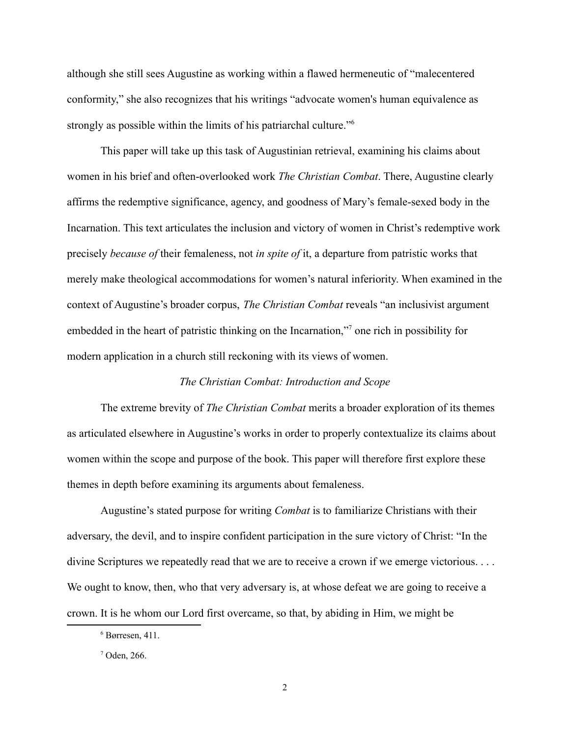although she still sees Augustine as working within a flawed hermeneutic of "malecentered conformity," she also recognizes that his writings "advocate women's human equivalence as strongly as possible within the limits of his patriarchal culture."<sup>6</sup>

This paper will take up this task of Augustinian retrieval, examining his claims about women in his brief and often-overlooked work *The Christian Combat*. There, Augustine clearly affirms the redemptive significance, agency, and goodness of Mary's female-sexed body in the Incarnation. This text articulates the inclusion and victory of women in Christ's redemptive work precisely *because of* their femaleness, not *in spite of* it, a departure from patristic works that merely make theological accommodations for women's natural inferiority. When examined in the context of Augustine's broader corpus, *The Christian Combat* reveals "an inclusivist argument embedded in the heart of patristic thinking on the Incarnation,"<sup>7</sup> one rich in possibility for modern application in a church still reckoning with its views of women.

#### *The Christian Combat: Introduction and Scope*

The extreme brevity of *The Christian Combat* merits a broader exploration of its themes as articulated elsewhere in Augustine's works in order to properly contextualize its claims about women within the scope and purpose of the book. This paper will therefore first explore these themes in depth before examining its arguments about femaleness.

Augustine's stated purpose for writing *Combat* is to familiarize Christians with their adversary, the devil, and to inspire confident participation in the sure victory of Christ: "In the divine Scriptures we repeatedly read that we are to receive a crown if we emerge victorious. . . . We ought to know, then, who that very adversary is, at whose defeat we are going to receive a crown. It is he whom our Lord first overcame, so that, by abiding in Him, we might be

 $6$  Børresen, 411.

<sup>7</sup> Oden, 266.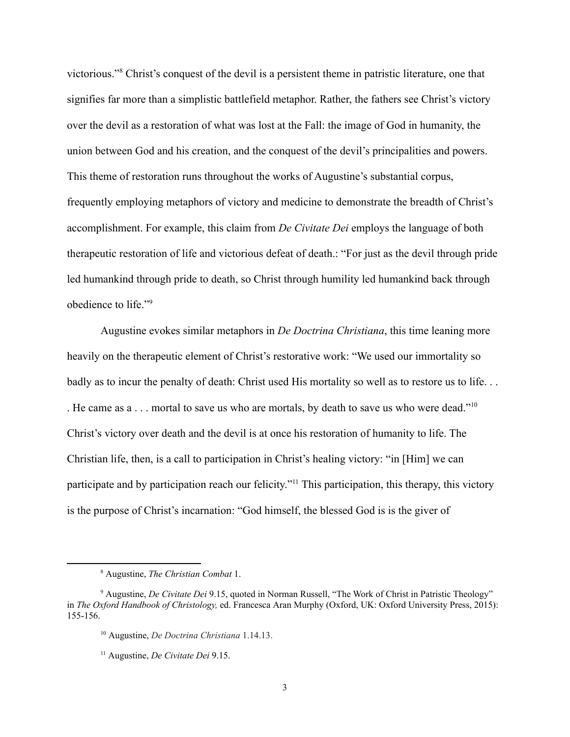victorious."<sup>8</sup> Christ's conquest of the devil is a persistent theme in patristic literature, one that signifies far more than a simplistic battlefield metaphor. Rather, the fathers see Christ's victory over the devil as a restoration of what was lost at the Fall: the image of God in humanity, the union between God and his creation, and the conquest of the devil's principalities and powers. This theme of restoration runs throughout the works of Augustine's substantial corpus, frequently employing metaphors of victory and medicine to demonstrate the breadth of Christ's accomplishment. For example, this claim from *De Civitate Dei* employs the language of both therapeutic restoration of life and victorious defeat of death.: "For just as the devil through pride led humankind through pride to death, so Christ through humility led humankind back through obedience to life."<sup>9</sup>

Augustine evokes similar metaphors in *De Doctrina Christiana*, this time leaning more heavily on the therapeutic element of Christ's restorative work: "We used our immortality so badly as to incur the penalty of death: Christ used His mortality so well as to restore us to life. . . . He came as a . . . mortal to save us who are mortals, by death to save us who were dead."<sup>10</sup> Christ's victory over death and the devil is at once his restoration of humanity to life. The Christian life, then, is a call to participation in Christ's healing victory: "in [Him] we can participate and by participation reach our felicity."<sup>11</sup> This participation, this therapy, this victory is the purpose of Christ's incarnation: "God himself, the blessed God is is the giver of

<sup>8</sup> Augustine, *The Christian Combat* 1.

<sup>9</sup> Augustine, *De Civitate Dei* 9.15, quoted in Norman Russell, "The Work of Christ in Patristic Theology" in *The Oxford Handbook of Christology,* ed. Francesca Aran Murphy (Oxford, UK: Oxford University Press, 2015): 155-156.

<sup>10</sup> Augustine, *De Doctrina Christiana* 1.14.13.

<sup>11</sup> Augustine, *De Civitate Dei* 9.15.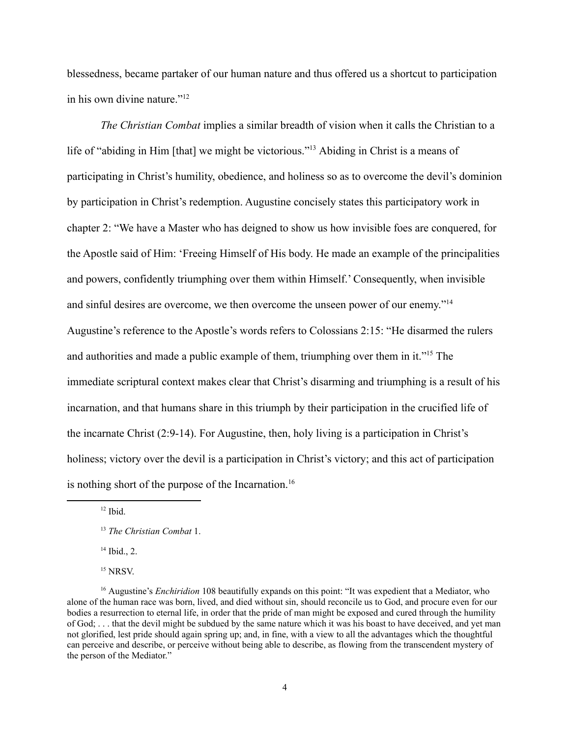blessedness, became partaker of our human nature and thus offered us a shortcut to participation in his own divine nature."<sup>12</sup>

*The Christian Combat* implies a similar breadth of vision when it calls the Christian to a life of "abiding in Him [that] we might be victorious."<sup>13</sup> Abiding in Christ is a means of participating in Christ's humility, obedience, and holiness so as to overcome the devil's dominion by participation in Christ's redemption. Augustine concisely states this participatory work in chapter 2: "We have a Master who has deigned to show us how invisible foes are conquered, for the Apostle said of Him: 'Freeing Himself of His body. He made an example of the principalities and powers, confidently triumphing over them within Himself.' Consequently, when invisible and sinful desires are overcome, we then overcome the unseen power of our enemy."<sup>14</sup> Augustine's reference to the Apostle's words refers to Colossians 2:15: "He disarmed the rulers and authorities and made a public example of them, triumphing over them in it."<sup>15</sup> The immediate scriptural context makes clear that Christ's disarming and triumphing is a result of his incarnation, and that humans share in this triumph by their participation in the crucified life of the incarnate Christ (2:9-14). For Augustine, then, holy living is a participation in Christ's holiness; victory over the devil is a participation in Christ's victory; and this act of participation is nothing short of the purpose of the Incarnation.<sup>16</sup>

 $12$  Ibid.

<sup>13</sup> *The Christian Combat* 1.

 $14$  Ibid., 2.

 $15$  NRSV.

<sup>&</sup>lt;sup>16</sup> Augustine's *Enchiridion* 108 beautifully expands on this point: "It was expedient that a Mediator, who alone of the [human](https://www.newadvent.org/cathen/09580c.htm) race was born, lived, and died without [sin](https://www.newadvent.org/cathen/14004b.htm), should reconcile us to [God](https://www.newadvent.org/cathen/06608a.htm), and procure even for our bodies a resurrection to [eternal](https://www.newadvent.org/cathen/05551b.htm) life, in order that the [pride](https://www.newadvent.org/cathen/12405a.htm) of man might be exposed and cured through the humility of [God](https://www.newadvent.org/cathen/06608a.htm); . . . that the [devil](https://www.newadvent.org/cathen/04764a.htm) might be subdued by the same nature which it was his boast to have deceived, and yet man not [glorified,](https://www.newadvent.org/cathen/06585a.htm) lest [pride](https://www.newadvent.org/cathen/12405a.htm) should again spring up; and, in fine, with a view to all the advantages which the thoughtful can perceive and describe, or perceive without being able to describe, as flowing from the transcendent [mystery](https://www.newadvent.org/cathen/10662a.htm) of the person of the Mediator."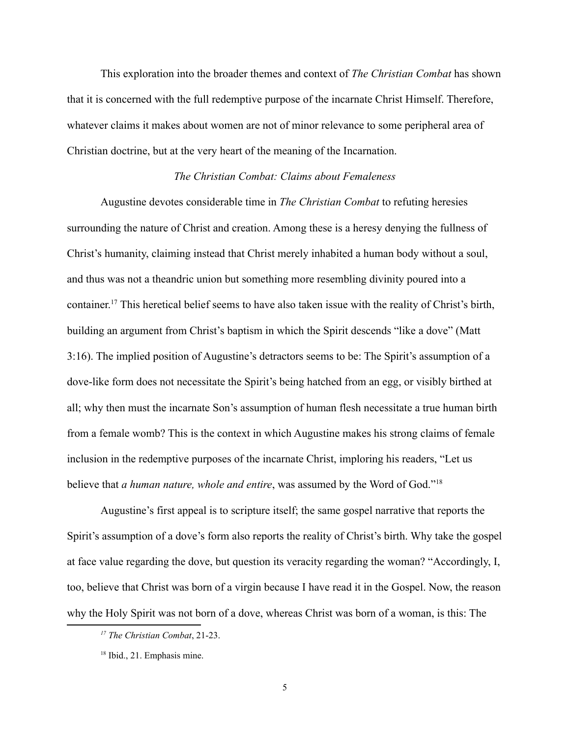This exploration into the broader themes and context of *The Christian Combat* has shown that it is concerned with the full redemptive purpose of the incarnate Christ Himself. Therefore, whatever claims it makes about women are not of minor relevance to some peripheral area of Christian doctrine, but at the very heart of the meaning of the Incarnation.

### *The Christian Combat: Claims about Femaleness*

Augustine devotes considerable time in *The Christian Combat* to refuting heresies surrounding the nature of Christ and creation. Among these is a heresy denying the fullness of Christ's humanity, claiming instead that Christ merely inhabited a human body without a soul, and thus was not a theandric union but something more resembling divinity poured into a container. <sup>17</sup> This heretical belief seems to have also taken issue with the reality of Christ's birth, building an argument from Christ's baptism in which the Spirit descends "like a dove" (Matt 3:16). The implied position of Augustine's detractors seems to be: The Spirit's assumption of a dove-like form does not necessitate the Spirit's being hatched from an egg, or visibly birthed at all; why then must the incarnate Son's assumption of human flesh necessitate a true human birth from a female womb? This is the context in which Augustine makes his strong claims of female inclusion in the redemptive purposes of the incarnate Christ, imploring his readers, "Let us believe that *a human nature, whole and entire*, was assumed by the Word of God."<sup>18</sup>

Augustine's first appeal is to scripture itself; the same gospel narrative that reports the Spirit's assumption of a dove's form also reports the reality of Christ's birth. Why take the gospel at face value regarding the dove, but question its veracity regarding the woman? "Accordingly, I, too, believe that Christ was born of a virgin because I have read it in the Gospel. Now, the reason why the Holy Spirit was not born of a dove, whereas Christ was born of a woman, is this: The

*<sup>17</sup> The Christian Combat*, 21-23.

<sup>18</sup> Ibid., 21. Emphasis mine.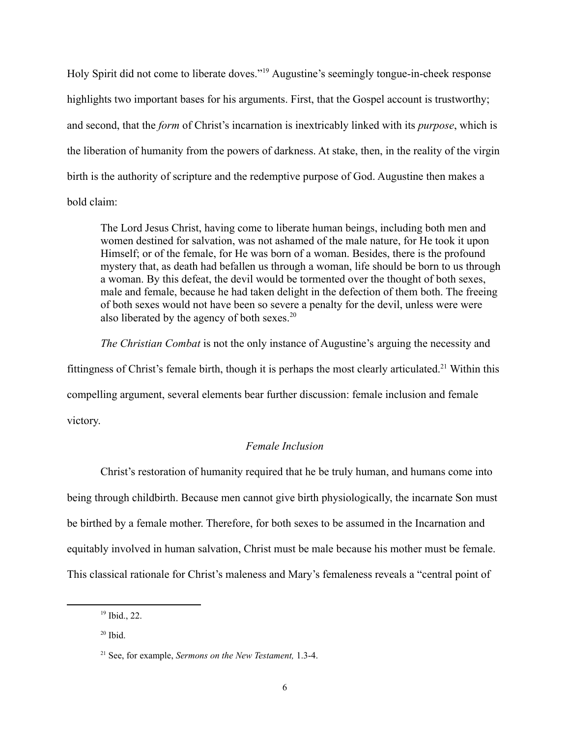Holy Spirit did not come to liberate doves."<sup>19</sup> Augustine's seemingly tongue-in-cheek response highlights two important bases for his arguments. First, that the Gospel account is trustworthy; and second, that the *form* of Christ's incarnation is inextricably linked with its *purpose*, which is the liberation of humanity from the powers of darkness. At stake, then, in the reality of the virgin birth is the authority of scripture and the redemptive purpose of God. Augustine then makes a bold claim:

The Lord Jesus Christ, having come to liberate human beings, including both men and women destined for salvation, was not ashamed of the male nature, for He took it upon Himself; or of the female, for He was born of a woman. Besides, there is the profound mystery that, as death had befallen us through a woman, life should be born to us through a woman. By this defeat, the devil would be tormented over the thought of both sexes, male and female, because he had taken delight in the defection of them both. The freeing of both sexes would not have been so severe a penalty for the devil, unless were were also liberated by the agency of both sexes.<sup>20</sup>

*The Christian Combat* is not the only instance of Augustine's arguing the necessity and fittingness of Christ's female birth, though it is perhaps the most clearly articulated.<sup>21</sup> Within this compelling argument, several elements bear further discussion: female inclusion and female victory.

# *Female Inclusion*

Christ's restoration of humanity required that he be truly human, and humans come into being through childbirth. Because men cannot give birth physiologically, the incarnate Son must be birthed by a female mother. Therefore, for both sexes to be assumed in the Incarnation and equitably involved in human salvation, Christ must be male because his mother must be female. This classical rationale for Christ's maleness and Mary's femaleness reveals a "central point of

<sup>19</sup> Ibid., 22.

 $20$  Ibid.

<sup>21</sup> See, for example, *Sermons on the New Testament,* 1.3-4.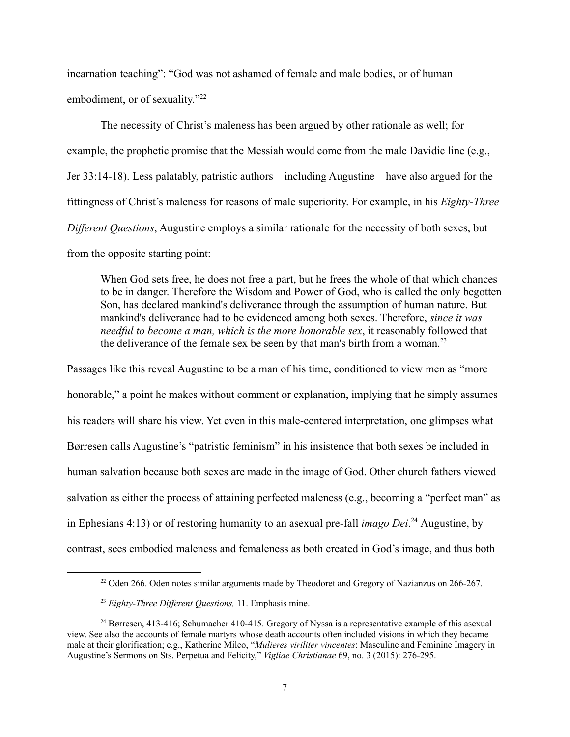incarnation teaching": "God was not ashamed of female and male bodies, or of human embodiment, or of sexuality."<sup>22</sup>

The necessity of Christ's maleness has been argued by other rationale as well; for example, the prophetic promise that the Messiah would come from the male Davidic line (e.g., Jer 33:14-18). Less palatably, patristic authors—including Augustine—have also argued for the fittingness of Christ's maleness for reasons of male superiority. For example, in his *Eighty-Three Different Questions*, Augustine employs a similar rationale for the necessity of both sexes, but from the opposite starting point:

When God sets free, he does not free a part, but he frees the whole of that which chances to be in danger. Therefore the Wisdom and Power of God, who is called the only begotten Son, has declared mankind's deliverance through the assumption of human nature. But mankind's deliverance had to be evidenced among both sexes. Therefore, *since it was needful to become a man, which is the more honorable sex*, it reasonably followed that the deliverance of the female sex be seen by that man's birth from a woman.<sup>23</sup>

Passages like this reveal Augustine to be a man of his time, conditioned to view men as "more honorable," a point he makes without comment or explanation, implying that he simply assumes his readers will share his view. Yet even in this male-centered interpretation, one glimpses what Børresen calls Augustine's "patristic feminism" in his insistence that both sexes be included in human salvation because both sexes are made in the image of God. Other church fathers viewed salvation as either the process of attaining perfected maleness (e.g., becoming a "perfect man" as in Ephesians 4:13) or of restoring humanity to an asexual pre-fall *imago Dei*. <sup>24</sup> Augustine, by contrast, sees embodied maleness and femaleness as both created in God's image, and thus both

<sup>&</sup>lt;sup>22</sup> Oden 266. Oden notes similar arguments made by Theodoret and Gregory of Nazianzus on 266-267.

<sup>&</sup>lt;sup>23</sup> Eighty-Three Different Questions, 11. Emphasis mine.

<sup>&</sup>lt;sup>24</sup> Børresen, 413-416; Schumacher 410-415. Gregory of Nyssa is a representative example of this asexual view. See also the accounts of female martyrs whose death accounts often included visions in which they became male at their glorification; e.g., Katherine Milco, "*Mulieres viriliter vincentes*: Masculine and Feminine Imagery in Augustine's Sermons on Sts. Perpetua and Felicity," *Vigliae Christianae* 69, no. 3 (2015): 276-295.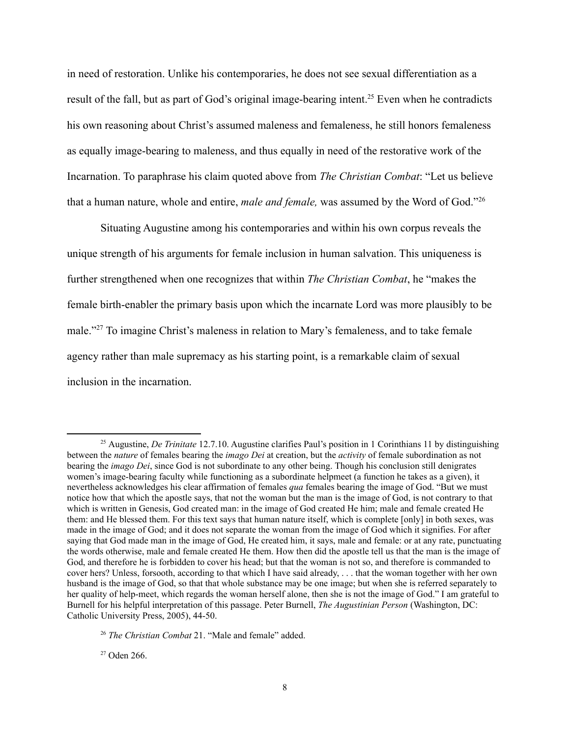in need of restoration. Unlike his contemporaries, he does not see sexual differentiation as a result of the fall, but as part of God's original image-bearing intent.<sup>25</sup> Even when he contradicts his own reasoning about Christ's assumed maleness and femaleness, he still honors femaleness as equally image-bearing to maleness, and thus equally in need of the restorative work of the Incarnation. To paraphrase his claim quoted above from *The Christian Combat*: "Let us believe that a human nature, whole and entire, *male and female,* was assumed by the Word of God."<sup>26</sup>

Situating Augustine among his contemporaries and within his own corpus reveals the unique strength of his arguments for female inclusion in human salvation. This uniqueness is further strengthened when one recognizes that within *The Christian Combat*, he "makes the female birth-enabler the primary basis upon which the incarnate Lord was more plausibly to be male."<sup>27</sup> To imagine Christ's maleness in relation to Mary's femaleness, and to take female agency rather than male supremacy as his starting point, is a remarkable claim of sexual inclusion in the incarnation.

 $27$  Oden 266.

<sup>25</sup> Augustine, *De Trinitate* 12.7.10. Augustine clarifies Paul's position in 1 Corinthians 11 by distinguishing between the *nature* of females bearing the *imago Dei* at creation, but the *activity* of female subordination as not bearing the *imago Dei*, since God is not subordinate to any other being. Though his conclusion still denigrates women's image-bearing faculty while functioning as a subordinate helpmeet (a function he takes as a given), it nevertheless acknowledges his clear affirmation of females *qua* females bearing the image of God. "But we must notice how that which the apostle says, that not the [woman](https://www.newadvent.org/cathen/15687b.htm) but the man is the image of [God,](https://www.newadvent.org/cathen/06608a.htm) is not contrary to that which is written in Genesis, [God](https://www.newadvent.org/cathen/06608a.htm) created man: in the image of God created He him; male and female created He them: and He blessed them. For this text says that [human](https://www.newadvent.org/cathen/09580c.htm) [nature](https://www.newadvent.org/cathen/10715a.htm) itself, which is complete [only] in both sexes, was made in the image of [God](https://www.newadvent.org/cathen/06608a.htm); and it does not separate the [woman](https://www.newadvent.org/cathen/15687b.htm) from the image of God which it signifies. For after saying that God made man in the image of [God,](https://www.newadvent.org/cathen/06608a.htm) He created him, it says, male and female: or at any rate, punctuating the words otherwise, male and female created He them. How then did the apostle tell us that the man is the image of [God](https://www.newadvent.org/cathen/06608a.htm), and therefore he is forbidden to cover his head; but that the [woman](https://www.newadvent.org/cathen/15687b.htm) is not so, and therefore is commanded to cover hers? Unless, forsooth, according to that which I have said already, . . . that the [woman](https://www.newadvent.org/cathen/15687b.htm) together with her own husband is the image of [God,](https://www.newadvent.org/cathen/06608a.htm) so that that whole substance may be one image; but when she is referred separately to her quality of help-meet, which regards the [woman](https://www.newadvent.org/cathen/15687b.htm) herself alone, then she is not the image of [God.](https://www.newadvent.org/cathen/06608a.htm)" I am grateful to Burnell for his helpful interpretation of this passage. Peter Burnell, *The Augustinian Person* (Washington, DC: Catholic University Press, 2005), 44-50.

<sup>26</sup> *The Christian Combat* 21. "Male and female" added.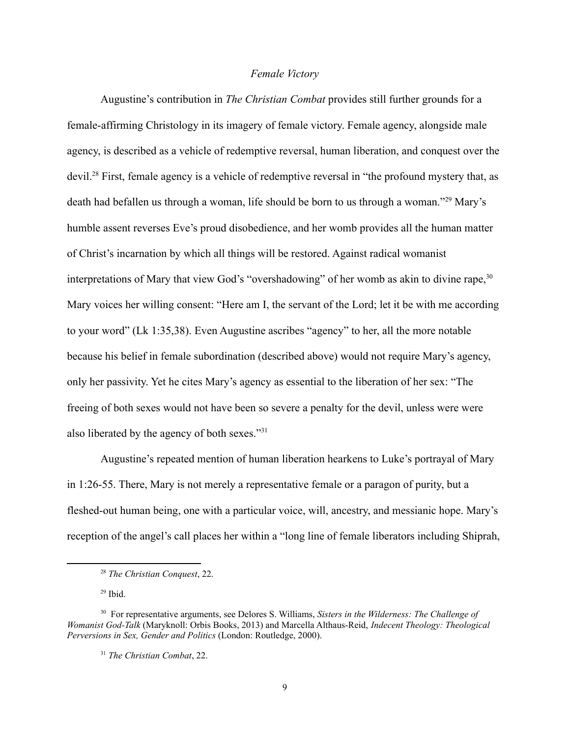## *Female Victory*

Augustine's contribution in *The Christian Combat* provides still further grounds for a female-affirming Christology in its imagery of female victory. Female agency, alongside male agency, is described as a vehicle of redemptive reversal, human liberation, and conquest over the devil.<sup>28</sup> First, female agency is a vehicle of redemptive reversal in "the profound mystery that, as death had befallen us through a woman, life should be born to us through a woman."<sup>29</sup> Mary's humble assent reverses Eve's proud disobedience, and her womb provides all the human matter of Christ's incarnation by which all things will be restored. Against radical womanist interpretations of Mary that view God's "overshadowing" of her womb as akin to divine rape,  $30$ Mary voices her willing consent: "Here am I, the servant of the Lord; let it be with me according to your word" (Lk 1:35,38). Even Augustine ascribes "agency" to her, all the more notable because his belief in female subordination (described above) would not require Mary's agency, only her passivity. Yet he cites Mary's agency as essential to the liberation of her sex: "The freeing of both sexes would not have been so severe a penalty for the devil, unless were were also liberated by the agency of both sexes."<sup>31</sup>

Augustine's repeated mention of human liberation hearkens to Luke's portrayal of Mary in 1:26-55. There, Mary is not merely a representative female or a paragon of purity, but a fleshed-out human being, one with a particular voice, will, ancestry, and messianic hope. Mary's reception of the angel's call places her within a "long line of female liberators including Shiprah,

 $29$  Ibid.

<sup>28</sup> *The Christian Conquest*, 22.

<sup>30</sup> For representative arguments, see Delores S. Williams, *Sisters in the Wilderness: The Challenge of Womanist God-Talk* (Maryknoll: Orbis Books, 2013) and Marcella Althaus-Reid, *Indecent Theology: Theological Perversions in Sex, Gender and Politics* (London: Routledge, 2000).

<sup>31</sup> *The Christian Combat*, 22.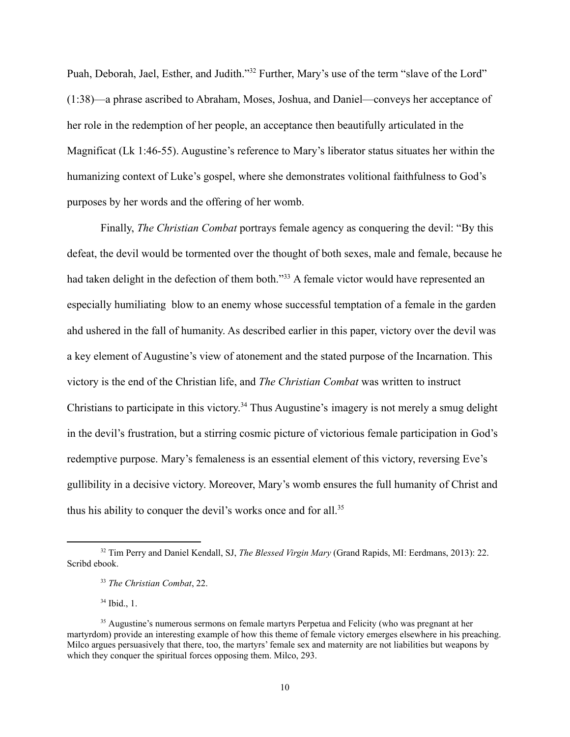Puah, Deborah, Jael, Esther, and Judith."<sup>32</sup> Further, Mary's use of the term "slave of the Lord" (1:38)—a phrase ascribed to Abraham, Moses, Joshua, and Daniel—conveys her acceptance of her role in the redemption of her people, an acceptance then beautifully articulated in the Magnificat (Lk 1:46-55). Augustine's reference to Mary's liberator status situates her within the humanizing context of Luke's gospel, where she demonstrates volitional faithfulness to God's purposes by her words and the offering of her womb.

Finally, *The Christian Combat* portrays female agency as conquering the devil: "By this defeat, the devil would be tormented over the thought of both sexes, male and female, because he had taken delight in the defection of them both."<sup>33</sup> A female victor would have represented an especially humiliating blow to an enemy whose successful temptation of a female in the garden ahd ushered in the fall of humanity. As described earlier in this paper, victory over the devil was a key element of Augustine's view of atonement and the stated purpose of the Incarnation. This victory is the end of the Christian life, and *The Christian Combat* was written to instruct Christians to participate in this victory. <sup>34</sup> Thus Augustine's imagery is not merely a smug delight in the devil's frustration, but a stirring cosmic picture of victorious female participation in God's redemptive purpose. Mary's femaleness is an essential element of this victory, reversing Eve's gullibility in a decisive victory. Moreover, Mary's womb ensures the full humanity of Christ and thus his ability to conquer the devil's works once and for all.<sup>35</sup>

 $34$  Ibid., 1.

<sup>32</sup> Tim Perry and Daniel Kendall, SJ, *The Blessed Virgin Mary* (Grand Rapids, MI: Eerdmans, 2013): 22. Scribd ebook.

<sup>33</sup> *The Christian Combat*, 22.

<sup>&</sup>lt;sup>35</sup> Augustine's numerous sermons on female martyrs Perpetua and Felicity (who was pregnant at her martyrdom) provide an interesting example of how this theme of female victory emerges elsewhere in his preaching. Milco argues persuasively that there, too, the martyrs' female sex and maternity are not liabilities but weapons by which they conquer the spiritual forces opposing them. Milco, 293.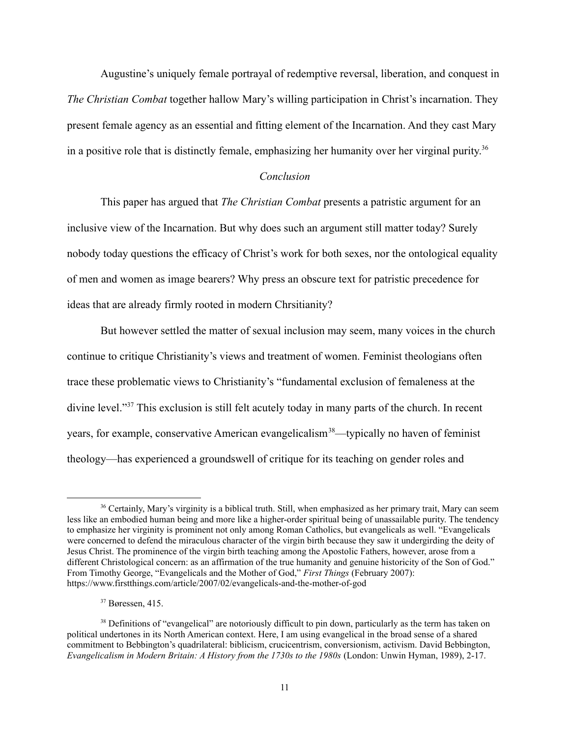Augustine's uniquely female portrayal of redemptive reversal, liberation, and conquest in *The Christian Combat* together hallow Mary's willing participation in Christ's incarnation. They present female agency as an essential and fitting element of the Incarnation. And they cast Mary in a positive role that is distinctly female, emphasizing her humanity over her virginal purity.<sup>36</sup>

#### *Conclusion*

This paper has argued that *The Christian Combat* presents a patristic argument for an inclusive view of the Incarnation. But why does such an argument still matter today? Surely nobody today questions the efficacy of Christ's work for both sexes, nor the ontological equality of men and women as image bearers? Why press an obscure text for patristic precedence for ideas that are already firmly rooted in modern Chrsitianity?

But however settled the matter of sexual inclusion may seem, many voices in the church continue to critique Christianity's views and treatment of women. Feminist theologians often trace these problematic views to Christianity's "fundamental exclusion of femaleness at the divine level."<sup>37</sup> This exclusion is still felt acutely today in many parts of the church. In recent years, for example, conservative American evangelicalism<sup>38</sup>—typically no haven of feminist theology—has experienced a groundswell of critique for its teaching on gender roles and

 $37$  Børessen, 415.

<sup>&</sup>lt;sup>36</sup> Certainly, Mary's virginity is a biblical truth. Still, when emphasized as her primary trait, Mary can seem less like an embodied human being and more like a higher-order spiritual being of unassailable purity. The tendency to emphasize her virginity is prominent not only among Roman Catholics, but evangelicals as well. "Evangelicals were concerned to defend the miraculous character of the virgin birth because they saw it undergirding the deity of Jesus Christ. The prominence of the virgin birth teaching among the Apostolic Fathers, however, arose from a different Christological concern: as an affirmation of the true humanity and genuine historicity of the Son of God." From Timothy George, "Evangelicals and the Mother of God," *First Things* (February 2007): https://www.firstthings.com/article/2007/02/evangelicals-and-the-mother-of-god

<sup>&</sup>lt;sup>38</sup> Definitions of "evangelical" are notoriously difficult to pin down, particularly as the term has taken on political undertones in its North American context. Here, I am using evangelical in the broad sense of a shared commitment to Bebbington's quadrilateral: biblicism, crucicentrism, conversionism, activism. David Bebbington, *Evangelicalism in Modern Britain: A History from the 1730s to the 1980s* (London: Unwin Hyman, 1989), 2-17.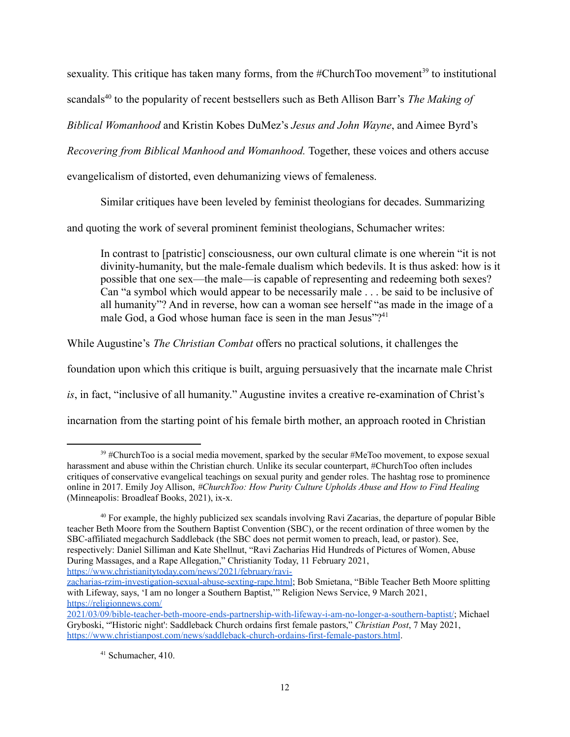sexuality. This critique has taken many forms, from the  $#ChurchToo movement<sup>39</sup>$  to institutional

scandals<sup>40</sup> to the popularity of recent bestsellers such as Beth Allison Barr's *The Making of* 

*Biblical Womanhood* and Kristin Kobes DuMez's *Jesus and John Wayne*, and Aimee Byrd's

*Recovering from Biblical Manhood and Womanhood.* Together, these voices and others accuse

evangelicalism of distorted, even dehumanizing views of femaleness.

Similar critiques have been leveled by feminist theologians for decades. Summarizing

and quoting the work of several prominent feminist theologians, Schumacher writes:

In contrast to [patristic] consciousness, our own cultural climate is one wherein "it is not divinity-humanity, but the male-female dualism which bedevils. It is thus asked: how is it possible that one sex—the male—is capable of representing and redeeming both sexes? Can "a symbol which would appear to be necessarily male . . . be said to be inclusive of all humanity"? And in reverse, how can a woman see herself "as made in the image of a male God, a God whose human face is seen in the man Jesus"?<sup>41</sup>

While Augustine's *The Christian Combat* offers no practical solutions, it challenges the

foundation upon which this critique is built, arguing persuasively that the incarnate male Christ

*is*, in fact, "inclusive of all humanity." Augustine invites a creative re-examination of Christ's

incarnation from the starting point of his female birth mother, an approach rooted in Christian

<sup>&</sup>lt;sup>39</sup> #ChurchToo is a social media movement, sparked by the secular #MeToo movement, to expose sexual harassment and abuse within the Christian church. Unlike its secular counterpart, #ChurchToo often includes critiques of conservative evangelical teachings on sexual purity and gender roles. The hashtag rose to prominence online in 2017. Emily Joy Allison, *#ChurchToo: How Purity Culture Upholds Abuse and How to Find Healing* (Minneapolis: Broadleaf Books, 2021), ix-x.

<sup>40</sup> For example, the highly publicized sex scandals involving Ravi Zacarias, the departure of popular Bible teacher Beth Moore from the Southern Baptist Convention (SBC), or the recent ordination of three women by the SBC-affiliated megachurch Saddleback (the SBC does not permit women to preach, lead, or pastor). See, respectively: Daniel Silliman and Kate Shellnut, "Ravi Zacharias Hid Hundreds of Pictures of Women, Abuse During Massages, and a Rape Allegation," Christianity Today, 11 February 2021, [https://www.christianitytoday.com/news/2021/february/ravi-](https://www.christianitytoday.com/news/2021/february/ravi-zacharias-rzim-investigation-sexual-abuse-sexting-rape.html)

[zacharias-rzim-investigation-sexual-abuse-sexting-rape.html](https://www.christianitytoday.com/news/2021/february/ravi-zacharias-rzim-investigation-sexual-abuse-sexting-rape.html); Bob Smietana, "Bible Teacher Beth Moore splitting with Lifeway, says, 'I am no longer a Southern Baptist,'" Religion News Service, 9 March 2021, [https://religionnews.com/](https://religionnews.com/2021/03/09/bible-teacher-beth-moore-ends-partnership-with-lifeway-i-am-no-longer-a-southern-baptist/)

[<sup>2021/03/09/</sup>bible-teacher-beth-moore-ends-partnership-with-lifeway-i-am-no-longer-a-southern-baptist/;](https://religionnews.com/2021/03/09/bible-teacher-beth-moore-ends-partnership-with-lifeway-i-am-no-longer-a-southern-baptist/) Michael Gryboski, "'Historic night': Saddleback Church ordains first female pastors," *Christian Post*, 7 May 2021, <https://www.christianpost.com/news/saddleback-church-ordains-first-female-pastors.html>.

<sup>41</sup> Schumacher, 410.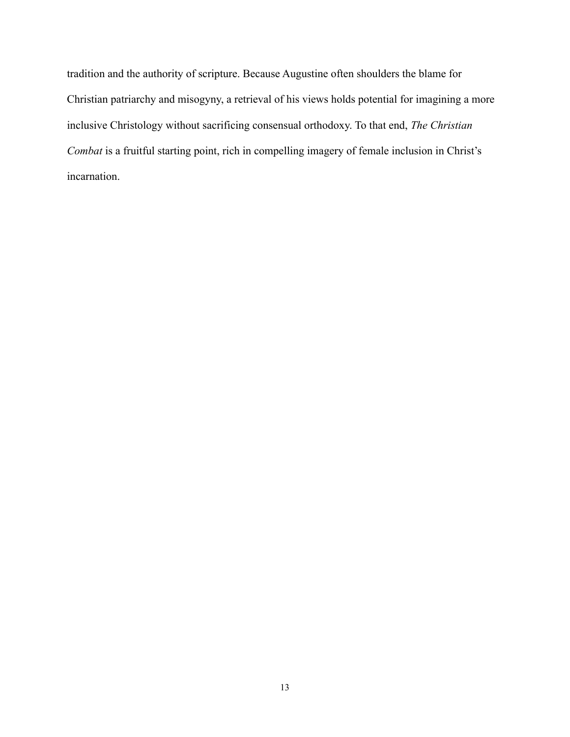tradition and the authority of scripture. Because Augustine often shoulders the blame for Christian patriarchy and misogyny, a retrieval of his views holds potential for imagining a more inclusive Christology without sacrificing consensual orthodoxy. To that end, *The Christian Combat* is a fruitful starting point, rich in compelling imagery of female inclusion in Christ's incarnation.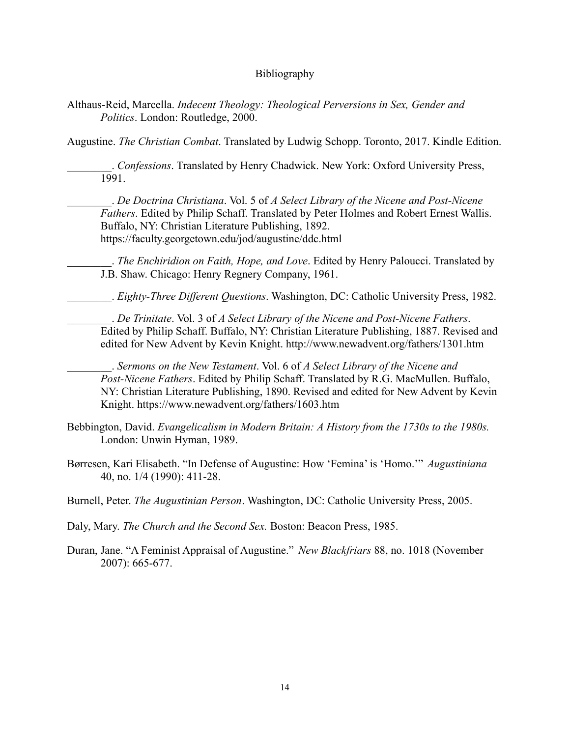# Bibliography

Althaus-Reid, Marcella. *Indecent Theology: Theological Perversions in Sex, Gender and Politics*. London: Routledge, 2000.

Augustine. *The Christian Combat*. Translated by Ludwig Schopp. Toronto, 2017. Kindle Edition.

\_\_\_\_\_\_\_\_. *Confessions*. Translated by Henry Chadwick. New York: Oxford University Press, 1991.

\_\_\_\_\_\_\_\_. *De Doctrina Christiana*. Vol. 5 of *A Select Library of the Nicene and Post-Nicene Fathers*. Edited by Philip Schaff. Translated by Peter Holmes and Robert Ernest Wallis. Buffalo, NY: Christian Literature Publishing, 1892. https://faculty.georgetown.edu/jod/augustine/ddc.html

\_\_\_\_\_\_\_\_. *The Enchiridion on Faith, Hope, and Love*. Edited by Henry Paloucci. Translated by J.B. Shaw. Chicago: Henry Regnery Company, 1961.

\_\_\_\_\_\_\_\_. *Eighty-Three Different Questions*. Washington, DC: Catholic University Press, 1982.

\_\_\_\_\_\_\_\_. *De Trinitate*. Vol. 3 of *A Select Library of the Nicene and Post-Nicene Fathers*. Edited by Philip Schaff. Buffalo, NY: Christian Literature Publishing, 1887. Revised and edited for New Advent by Kevin Knight. http://www.newadvent.org/fathers/1301.htm

\_\_\_\_\_\_\_\_. *Sermons on the New Testament*. Vol. 6 of *A Select Library of the Nicene and Post-Nicene Fathers*. Edited by Philip Schaff. Translated by R.G. MacMullen. Buffalo, NY: Christian Literature Publishing, 1890. Revised and edited for New Advent by Kevin Knight. https://www.newadvent.org/fathers/1603.htm

- Bebbington, David. *Evangelicalism in Modern Britain: A History from the 1730s to the 1980s.* London: Unwin Hyman, 1989.
- Børresen, Kari Elisabeth. "In Defense of Augustine: How 'Femina' is 'Homo.'" *Augustiniana* 40, no. 1/4 (1990): 411-28.
- Burnell, Peter. *The Augustinian Person*. Washington, DC: Catholic University Press, 2005.

Daly, Mary. *The Church and the Second Sex.* Boston: Beacon Press, 1985.

Duran, Jane. "A Feminist Appraisal of Augustine." *New Blackfriars* 88, no. 1018 (November 2007): 665-677.